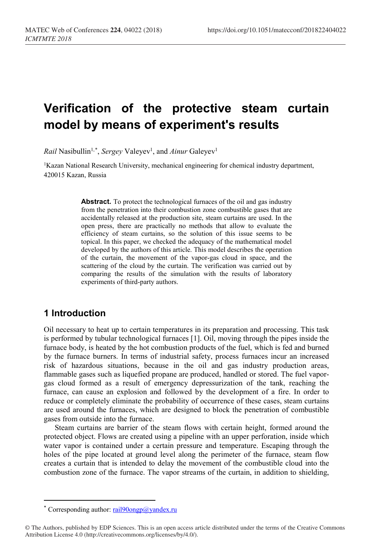# **Verification of the protective steam curtain model by means of experiment's results**

*Rail* Nasibullin<sup>1,[\\*](#page-0-0)</sup>, *Sergey* Valeyev<sup>1</sup>, and *Ainur* Galeyev<sup>1</sup>

<sup>1</sup>Kazan National Research University, mechanical engineering for chemical industry department, 420015 Kazan, Russia

> **Abstract.** To protect the technological furnaces of the oil and gas industry from the penetration into their combustion zone combustible gases that are accidentally released at the production site, steam curtains are used. In the open press, there are practically no methods that allow to evaluate the efficiency of steam curtains, so the solution of this issue seems to be topical. In this paper, we checked the adequacy of the mathematical model developed by the authors of this article. This model describes the operation of the curtain, the movement of the vapor-gas cloud in space, and the scattering of the cloud by the curtain. The verification was carried out by comparing the results of the simulation with the results of laboratory experiments of third-party authors.

## **1 Introduction**

 $\overline{\phantom{a}}$ 

Oil necessary to heat up to certain temperatures in its preparation and processing. This task is performed by tubular technological furnaces [1]. Oil, moving through the pipes inside the furnace body, is heated by the hot combustion products of the fuel, which is fed and burned by the furnace burners. In terms of industrial safety, process furnaces incur an increased risk of hazardous situations, because in the oil and gas industry production areas, flammable gases such as liquefied propane are produced, handled or stored. The fuel vaporgas cloud formed as a result of emergency depressurization of the tank, reaching the furnace, can cause an explosion and followed by the development of a fire. In order to reduce or completely eliminate the probability of occurrence of these cases, steam curtains are used around the furnaces, which are designed to block the penetration of combustible gases from outside into the furnace.

Steam curtains are barrier of the steam flows with certain height, formed around the protected object. Flows are created using a pipeline with an upper perforation, inside which water vapor is contained under a certain pressure and temperature. Escaping through the holes of the pipe located at ground level along the perimeter of the furnace, steam flow creates a curtain that is intended to delay the movement of the combustible cloud into the combustion zone of the furnace. The vapor streams of the curtain, in addition to shielding,

<sup>\*</sup> Corresponding author:  $\text{tail90ongp}(a)$  yandex.ru

<span id="page-0-0"></span><sup>©</sup> The Authors, published by EDP Sciences. This is an open access article distributed under the terms of the Creative Commons Attribution License 4.0 (http://creativecommons.org/licenses/by/4.0/).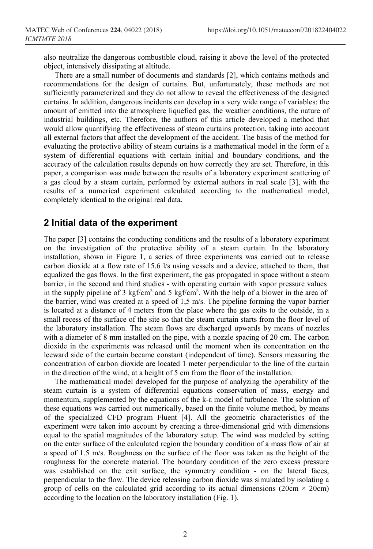also neutralize the dangerous combustible cloud, raising it above the level of the protected object, intensively dissipating at altitude.

There are a small number of documents and standards [2], which contains methods and recommendations for the design of curtains. But, unfortunately, these methods are not sufficiently parameterized and they do not allow to reveal the effectiveness of the designed curtains. In addition, dangerous incidents can develop in a very wide range of variables: the amount of emitted into the atmosphere liquefied gas, the weather conditions, the nature of industrial buildings, etc. Therefore, the authors of this article developed a method that would allow quantifying the effectiveness of steam curtains protection, taking into account all external factors that affect the development of the accident. The basis of the method for evaluating the protective ability of steam curtains is a mathematical model in the form of a system of differential equations with certain initial and boundary conditions, and the accuracy of the calculation results depends on how correctly they are set. Therefore, in this paper, a comparison was made between the results of a laboratory experiment scattering of a gas cloud by a steam curtain, performed by external authors in real scale [3], with the results of a numerical experiment calculated according to the mathematical model, completely identical to the original real data.

#### **2 Initial data of the experiment**

The paper [3] contains the conducting conditions and the results of a laboratory experiment on the investigation of the protective ability of a steam curtain. In the laboratory installation, shown in Figure 1, a series of three experiments was carried out to release carbon dioxide at a flow rate of 15.6 l/s using vessels and a device, attached to them, that equalized the gas flows. In the first experiment, the gas propagated in space without a steam barrier, in the second and third studies - with operating curtain with vapor pressure values in the supply pipeline of 3 kgf/cm<sup>2</sup> and 5 kgf/cm<sup>2</sup>. With the help of a blower in the area of the barrier, wind was created at a speed of 1,5 m/s. The pipeline forming the vapor barrier is located at a distance of 4 meters from the place where the gas exits to the outside, in a small recess of the surface of the site so that the steam curtain starts from the floor level of the laboratory installation. The steam flows are discharged upwards by means of nozzles with a diameter of 8 mm installed on the pipe, with a nozzle spacing of 20 cm. The carbon dioxide in the experiments was released until the moment when its concentration on the leeward side of the curtain became constant (independent of time). Sensors measuring the concentration of carbon dioxide are located 1 meter perpendicular to the line of the curtain in the direction of the wind, at a height of 5 cm from the floor of the installation.

The mathematical model developed for the purpose of analyzing the operability of the steam curtain is a system of differential equations conservation of mass, energy and momentum, supplemented by the equations of the k-ε model of turbulence. The solution of these equations was carried out numerically, based on the finite volume method, by means of the specialized CFD program Fluent [4]. All the geometric characteristics of the experiment were taken into account by creating a three-dimensional grid with dimensions equal to the spatial magnitudes of the laboratory setup. The wind was modeled by setting on the enter surface of the calculated region the boundary condition of a mass flow of air at a speed of 1.5 m/s. Roughness on the surface of the floor was taken as the height of the roughness for the concrete material. The boundary condition of the zero excess pressure was established on the exit surface, the symmetry condition - on the lateral faces, perpendicular to the flow. The device releasing carbon dioxide was simulated by isolating a group of cells on the calculated grid according to its actual dimensions (20cm  $\times$  20cm) according to the location on the laboratory installation (Fig. 1).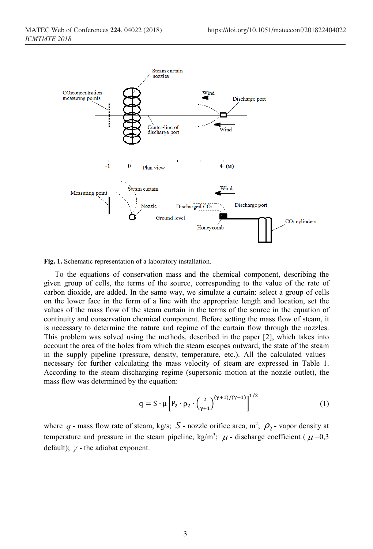

**Fig. 1.** Schematic representation of a laboratory installation.

To the equations of conservation mass and the chemical component, describing the given group of cells, the terms of the source, corresponding to the value of the rate of carbon dioxide, are added. In the same way, we simulate a curtain: select a group of cells on the lower face in the form of a line with the appropriate length and location, set the values of the mass flow of the steam curtain in the terms of the source in the equation of continuity and conservation chemical component. Before setting the mass flow of steam, it is necessary to determine the nature and regime of the curtain flow through the nozzles. This problem was solved using the methods, described in the paper [2], which takes into account the area of the holes from which the steam escapes outward, the state of the steam in the supply pipeline (pressure, density, temperature, etc.). All the calculated values necessary for further calculating the mass velocity of steam are expressed in Table 1. According to the steam discharging regime (supersonic motion at the nozzle outlet), the mass flow was determined by the equation:

$$
q = S \cdot \mu \left[ P_2 \cdot \rho_2 \cdot \left( \frac{2}{\gamma + 1} \right)^{(\gamma + 1)/(\gamma - 1)} \right]^{1/2}
$$
 (1)

where  $q$  - mass flow rate of steam, kg/s;  $S$  - nozzle orifice area, m<sup>2</sup>;  $\rho_2$  - vapor density at temperature and pressure in the steam pipeline, kg/m<sup>3</sup>;  $\mu$  - discharge coefficient ( $\mu$ =0,3 default);  $\gamma$  - the adiabat exponent.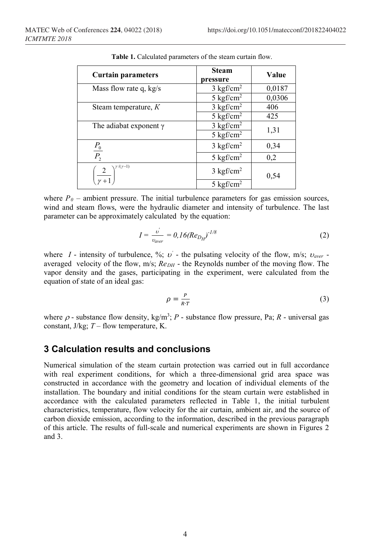| <b>Curtain parameters</b>                             | <b>Steam</b><br>pressure | Value  |
|-------------------------------------------------------|--------------------------|--------|
| Mass flow rate q, $kg/s$                              | $3 \text{ kgf/cm}^2$     | 0,0187 |
|                                                       | $5 \text{ kgf/cm}^2$     | 0,0306 |
| Steam temperature, $K$                                | $3 \text{ kgf/cm}^2$     | 406    |
|                                                       | $5$ kgf/cm <sup>2</sup>  | 425    |
| The adiabat exponent $\gamma$                         | $3$ kgf/cm <sup>2</sup>  | 1,31   |
|                                                       | $5$ kgf/cm <sup>2</sup>  |        |
| $\frac{P_{0}}{P_{0}}$                                 | $3 \text{ kgf/cm}^2$     | 0,34   |
| $P_{2}$                                               | $5 \text{ kgf/cm}^2$     | 0,2    |
| $\left(\frac{2}{\gamma+1}\right)^{\gamma/(\gamma-1)}$ | $3 \text{ kgf/cm}^2$     | 0,54   |
|                                                       | $5 \text{ kgf/cm}^2$     |        |

**Table 1.** Calculated parameters of the steam curtain flow.

where  $P_0$  – ambient pressure. The initial turbulence parameters for gas emission sources, wind and steam flows, were the hydraulic diameter and intensity of turbulence. The last parameter can be approximately calculated by the equation:

$$
I = \frac{v'}{v_{\text{aver}}} = 0, 16 \left( Re_{D_H} \right)^{-1/8} \tag{2}
$$

where *I* - intensity of turbulence, %;  $v'$  - the pulsating velocity of the flow, m/s;  $v_{\text{aver}}$  averaged velocity of the flow,  $m/s$ ;  $Re<sub>DH</sub>$  - the Reynolds number of the moving flow. The vapor density and the gases, participating in the experiment, were calculated from the equation of state of an ideal gas:

$$
\rho = \frac{P}{R \cdot T} \tag{3}
$$

where  $\rho$  - substance flow density, kg/m<sup>3</sup>;  $P$  - substance flow pressure, Pa;  $R$  - universal gas constant, J/kg; *T* – flow temperature, K.

### **3 Calculation results and conclusions**

Numerical simulation of the steam curtain protection was carried out in full accordance with real experiment conditions, for which a three-dimensional grid area space was constructed in accordance with the geometry and location of individual elements of the installation. The boundary and initial conditions for the steam curtain were established in accordance with the calculated parameters reflected in Table 1, the initial turbulent characteristics, temperature, flow velocity for the air curtain, ambient air, and the source of carbon dioxide emission, according to the information, described in the previous paragraph of this article. The results of full-scale and numerical experiments are shown in Figures 2 and 3.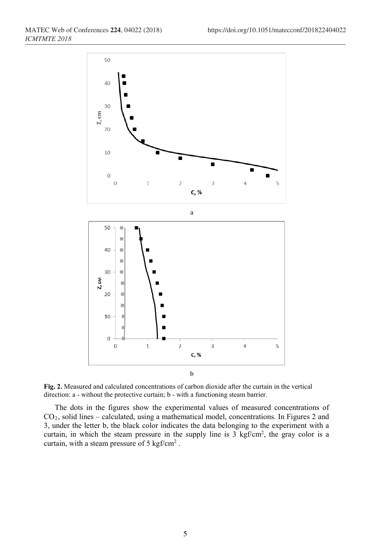

**Fig. 2.** Measured and calculated concentrations of carbon dioxide after the curtain in the vertical direction: a - without the protective curtain; b - with a functioning steam barrier.

The dots in the figures show the experimental values of measured concentrations of CO2, solid lines – calculated, using a mathematical model, concentrations. In Figures 2 and 3, under the letter b, the black color indicates the data belonging to the experiment with a curtain, in which the steam pressure in the supply line is  $3 \text{ kgf/cm}^2$ , the gray color is a curtain, with a steam pressure of 5 kgf/cm2 .